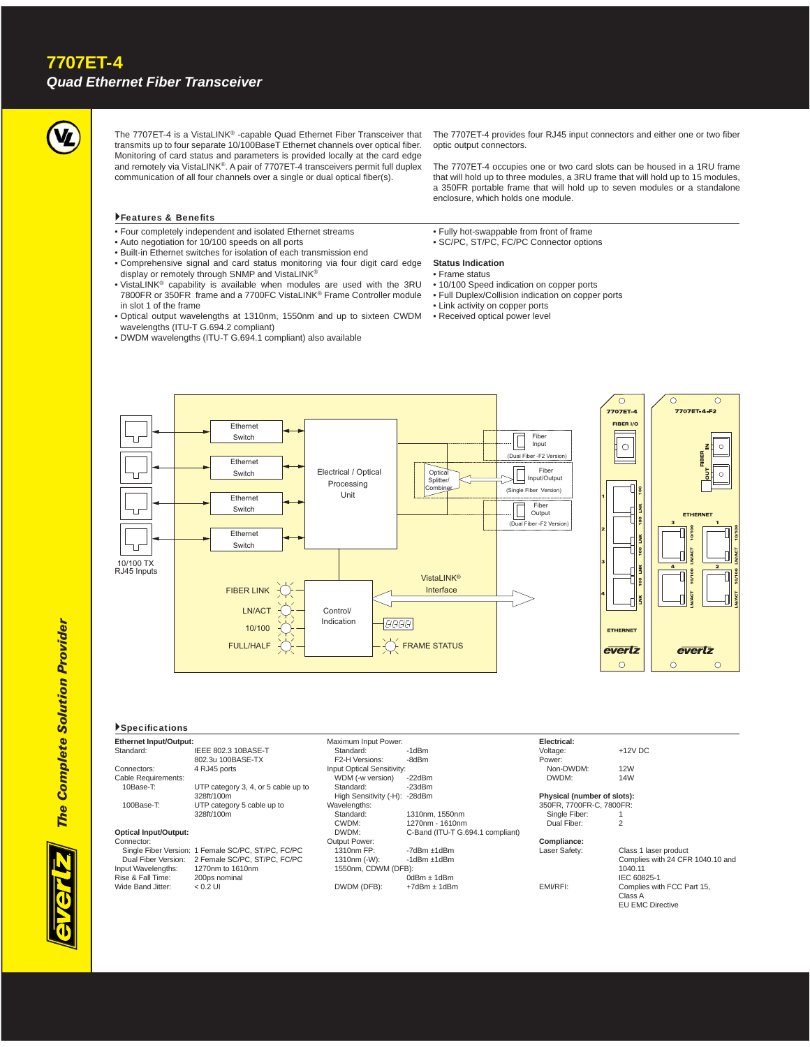

The 7707ET-4 is a VistaLINK® -capable Quad Ethernet Fiber Transceiver that transmits up to four separate 10/100BaseT Ethernet channels over optical fiber. Monitoring of card status and parameters is provided locally at the card edge and remotely via VistaLINK®. A pair of 7707ET-4 transceivers permit full duplex communication of all four channels over a single or dual optical fiber(s).

The 7707ET-4 provides four RJ45 input connectors and either one or two fiber optic output connectors.

The 7707ET-4 occupies one or two card slots can be housed in a 1RU frame that will hold up to three modules, a 3RU frame that will hold up to 15 modules, a 350FR portable frame that will hold up to seven modules or a standalone enclosure, which holds one module.

### Features & Benefits

- Four completely independent and isolated Ethernet streams
- Auto negotiation for 10/100 speeds on all ports • Built-in Ethernet switches for isolation of each transmission end
- 
- Comprehensive signal and card status monitoring via four digit card edge display or remotely through SNMP and VistaLINK®
- VistaLINK® capability is available when modules are used with the 3RU 7800FR or 350FR frame and a 7700FC VistaLINK® Frame Controller module in slot 1 of the frame
- Optical output wavelengths at 1310nm, 1550nm and up to sixteen CWDM wavelengths (ITU-T G.694.2 compliant)
- DWDM wavelengths (ITU-T G.694.1 compliant) also available

• Fully hot-swappable from front of frame • SC/PC, ST/PC, FC/PC Connector options

#### **Status Indication**

- Frame status
- 10/100 Speed indication on copper ports
- Full Duplex/Collision indication on copper ports
- Link activity on copper ports
- Received optical power level



#### **Specifications**

| Ethernet Input/Output:       |                                                    | Maximum Input Power:              |                                  | Electrical:                 |                                  |
|------------------------------|----------------------------------------------------|-----------------------------------|----------------------------------|-----------------------------|----------------------------------|
| Standard:                    | IEEE 802.3 10BASE-T                                | Standard:                         | $-1dBm$                          | Voltage:                    | $+12V$ DC                        |
|                              | 802.3u 100BASE-TX                                  | F2-H Versions:                    | -8dBm                            | Power:                      |                                  |
| Connectors:                  | 4 RJ45 ports                                       | <b>Input Optical Sensitivity:</b> |                                  | Non-DWDM:                   | <b>12W</b>                       |
| Cable Requirements:          |                                                    | WDM (-w version)                  | $-22dBr$                         | DWDM:                       | 14W                              |
| 10Base-T:                    | UTP category 3, 4, or 5 cable up to                | Standard:                         | $-23dBm$                         |                             |                                  |
|                              | 328ft/100m                                         | High Sensitivity (-H):            | -28dBm                           | Physical (number of slots): |                                  |
| 100Base-T:                   | UTP category 5 cable up to                         | Wavelengths:                      |                                  | 350FR, 7700FR-C, 7800FR:    |                                  |
|                              | 328ft/100m                                         | Standard:                         | 1310nm. 1550nm                   | Single Fiber:               |                                  |
|                              |                                                    | CWDM:                             | 1270nm - 1610nm                  | Dual Fiber:                 |                                  |
| <b>Optical Input/Output:</b> |                                                    | DWDM:                             | C-Band (ITU-T G.694.1 compliant) |                             |                                  |
| Connector:                   |                                                    | Output Power:                     |                                  | Compliance:                 |                                  |
|                              | Single Fiber Version: 1 Female SC/PC, ST/PC, FC/PC | 1310nm FP:                        | $-7$ d $Bm \pm 1$ d $Bm$         | Laser Safety:               | Class 1 laser product            |
| Dual Fiber Version:          | 2 Female SC/PC, ST/PC, FC/PC                       | 1310nm (-W):                      | $-1$ d $Bm \pm 1$ d $Bm$         |                             | Complies with 24 CFR 1040.10 and |
| Input Wavelengths:           | 1270nm to 1610nm                                   | 1550nm, CDWM (DFB);               |                                  |                             | 1040.11                          |
| Rise & Fall Time:            | 200ps nominal                                      |                                   | $0dBrf$ ± 1dBm                   |                             | IEC 60825-1                      |
| Wide Band Jitter:            | $< 0.2$ UI                                         | DWDM (DFB):                       | $+7$ dBm $\pm$ 1dBm              | EMI/RFI:                    | Complies with FCC Part 15.       |





 IEC 60825-1 EMI/RFI: Complies with FCC Part 15, Class A EU EMC Directive